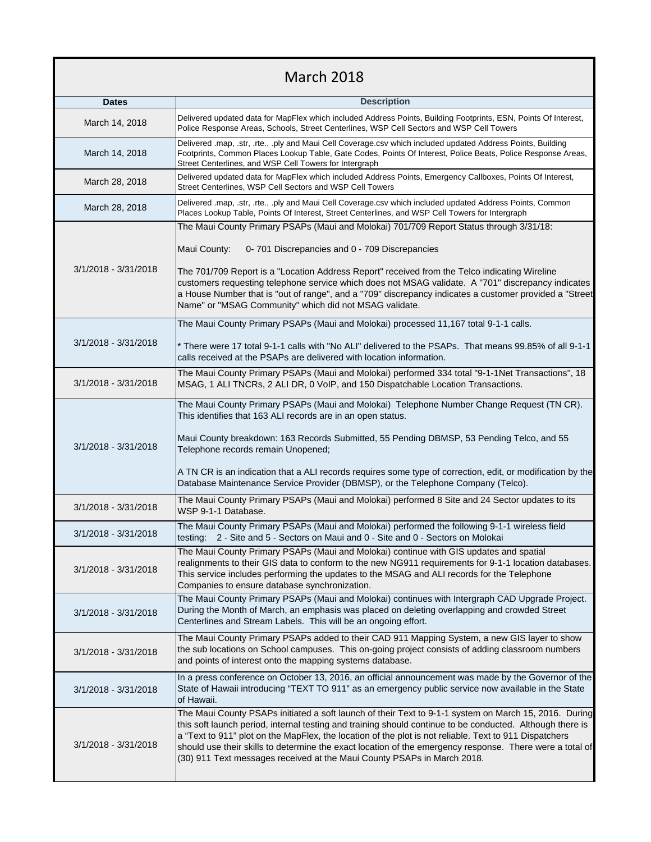## March 2018

| <b>Dates</b>         | <b>Description</b>                                                                                                                                                                                                                                                                                                                                                                                                                                                                                                                  |
|----------------------|-------------------------------------------------------------------------------------------------------------------------------------------------------------------------------------------------------------------------------------------------------------------------------------------------------------------------------------------------------------------------------------------------------------------------------------------------------------------------------------------------------------------------------------|
| March 14, 2018       | Delivered updated data for MapFlex which included Address Points, Building Footprints, ESN, Points Of Interest,<br>Police Response Areas, Schools, Street Centerlines, WSP Cell Sectors and WSP Cell Towers                                                                                                                                                                                                                                                                                                                         |
| March 14, 2018       | Delivered .map, .str, .rte., .ply and Maui Cell Coverage.csv which included updated Address Points, Building<br>Footprints, Common Places Lookup Table, Gate Codes, Points Of Interest, Police Beats, Police Response Areas,<br>Street Centerlines, and WSP Cell Towers for Intergraph                                                                                                                                                                                                                                              |
| March 28, 2018       | Delivered updated data for MapFlex which included Address Points, Emergency Callboxes, Points Of Interest,<br>Street Centerlines, WSP Cell Sectors and WSP Cell Towers                                                                                                                                                                                                                                                                                                                                                              |
| March 28, 2018       | Delivered .map, .str, .rte., .ply and Maui Cell Coverage.csv which included updated Address Points, Common<br>Places Lookup Table, Points Of Interest, Street Centerlines, and WSP Cell Towers for Intergraph                                                                                                                                                                                                                                                                                                                       |
| 3/1/2018 - 3/31/2018 | The Maui County Primary PSAPs (Maui and Molokai) 701/709 Report Status through 3/31/18:<br>Maui County:<br>0-701 Discrepancies and 0 - 709 Discrepancies<br>The 701/709 Report is a "Location Address Report" received from the Telco indicating Wireline<br>customers requesting telephone service which does not MSAG validate. A "701" discrepancy indicates<br>a House Number that is "out of range", and a "709" discrepancy indicates a customer provided a "Street<br>Name" or "MSAG Community" which did not MSAG validate. |
| 3/1/2018 - 3/31/2018 | The Maui County Primary PSAPs (Maui and Molokai) processed 11,167 total 9-1-1 calls.<br>* There were 17 total 9-1-1 calls with "No ALI" delivered to the PSAPs. That means 99.85% of all 9-1-1<br>calls received at the PSAPs are delivered with location information.                                                                                                                                                                                                                                                              |
| 3/1/2018 - 3/31/2018 | The Maui County Primary PSAPs (Maui and Molokai) performed 334 total "9-1-1Net Transactions", 18<br>MSAG, 1 ALI TNCRs, 2 ALI DR, 0 VoIP, and 150 Dispatchable Location Transactions.                                                                                                                                                                                                                                                                                                                                                |
| 3/1/2018 - 3/31/2018 | The Maui County Primary PSAPs (Maui and Molokai) Telephone Number Change Request (TN CR).<br>This identifies that 163 ALI records are in an open status.<br>Maui County breakdown: 163 Records Submitted, 55 Pending DBMSP, 53 Pending Telco, and 55<br>Telephone records remain Unopened;<br>A TN CR is an indication that a ALI records requires some type of correction, edit, or modification by the<br>Database Maintenance Service Provider (DBMSP), or the Telephone Company (Telco).                                        |
| 3/1/2018 - 3/31/2018 | The Maui County Primary PSAPs (Maui and Molokai) performed 8 Site and 24 Sector updates to its<br>WSP 9-1-1 Database.                                                                                                                                                                                                                                                                                                                                                                                                               |
| 3/1/2018 - 3/31/2018 | The Maui County Primary PSAPs (Maui and Molokai) performed the following 9-1-1 wireless field<br>testing: 2 - Site and 5 - Sectors on Maui and 0 - Site and 0 - Sectors on Molokai                                                                                                                                                                                                                                                                                                                                                  |
| 3/1/2018 - 3/31/2018 | The Maui County Primary PSAPs (Maui and Molokai) continue with GIS updates and spatial<br>realignments to their GIS data to conform to the new NG911 requirements for 9-1-1 location databases.<br>This service includes performing the updates to the MSAG and ALI records for the Telephone<br>Companies to ensure database synchronization.                                                                                                                                                                                      |
| 3/1/2018 - 3/31/2018 | The Maui County Primary PSAPs (Maui and Molokai) continues with Intergraph CAD Upgrade Project.<br>During the Month of March, an emphasis was placed on deleting overlapping and crowded Street<br>Centerlines and Stream Labels. This will be an ongoing effort.                                                                                                                                                                                                                                                                   |
| 3/1/2018 - 3/31/2018 | The Maui County Primary PSAPs added to their CAD 911 Mapping System, a new GIS layer to show<br>the sub locations on School campuses. This on-going project consists of adding classroom numbers<br>and points of interest onto the mapping systems database.                                                                                                                                                                                                                                                                       |
| 3/1/2018 - 3/31/2018 | In a press conference on October 13, 2016, an official announcement was made by the Governor of the<br>State of Hawaii introducing "TEXT TO 911" as an emergency public service now available in the State<br>of Hawaii.                                                                                                                                                                                                                                                                                                            |
| 3/1/2018 - 3/31/2018 | The Maui County PSAPs initiated a soft launch of their Text to 9-1-1 system on March 15, 2016. During<br>this soft launch period, internal testing and training should continue to be conducted. Although there is<br>a "Text to 911" plot on the MapFlex, the location of the plot is not reliable. Text to 911 Dispatchers<br>should use their skills to determine the exact location of the emergency response. There were a total of<br>(30) 911 Text messages received at the Maui County PSAPs in March 2018.                 |